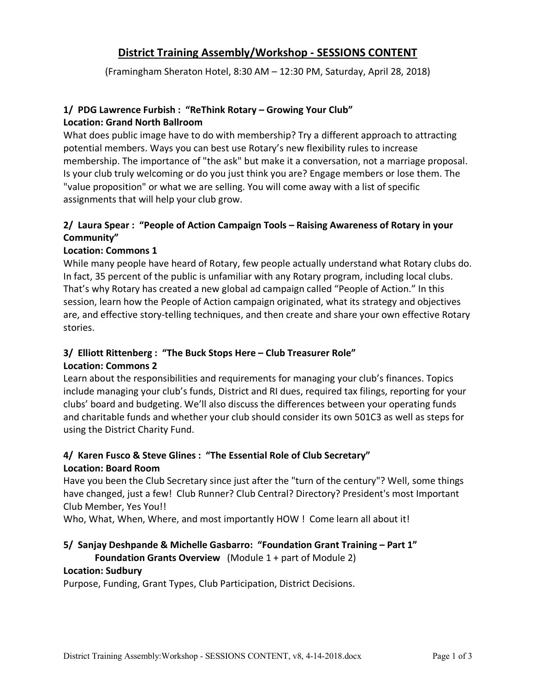# **District Training Assembly/Workshop - SESSIONS CONTENT**

(Framingham Sheraton Hotel, 8:30 AM – 12:30 PM, Saturday, April 28, 2018)

#### **1/ PDG Lawrence Furbish : "ReThink Rotary – Growing Your Club" Location: Grand North Ballroom**

What does public image have to do with membership? Try a different approach to attracting potential members. Ways you can best use Rotary's new flexibility rules to increase membership. The importance of "the ask" but make it a conversation, not a marriage proposal. Is your club truly welcoming or do you just think you are? Engage members or lose them. The "value proposition" or what we are selling. You will come away with a list of specific assignments that will help your club grow.

#### **2/ Laura Spear : "People of Action Campaign Tools – Raising Awareness of Rotary in your Community"**

#### **Location: Commons 1**

While many people have heard of Rotary, few people actually understand what Rotary clubs do. In fact, 35 percent of the public is unfamiliar with any Rotary program, including local clubs. That's why Rotary has created a new global ad campaign called "People of Action." In this session, learn how the People of Action campaign originated, what its strategy and objectives are, and effective story-telling techniques, and then create and share your own effective Rotary stories.

#### **3/ Elliott Rittenberg : "The Buck Stops Here – Club Treasurer Role" Location: Commons 2**

Learn about the responsibilities and requirements for managing your club's finances. Topics include managing your club's funds, District and RI dues, required tax filings, reporting for your clubs' board and budgeting. We'll also discuss the differences between your operating funds and charitable funds and whether your club should consider its own 501C3 as well as steps for using the District Charity Fund.

# **4/ Karen Fusco & Steve Glines : "The Essential Role of Club Secretary" Location: Board Room**

Have you been the Club Secretary since just after the "turn of the century"? Well, some things have changed, just a few! Club Runner? Club Central? Directory? President's most Important Club Member, Yes You!!

Who, What, When, Where, and most importantly HOW ! Come learn all about it!

#### **5/ Sanjay Deshpande & Michelle Gasbarro: "Foundation Grant Training – Part 1"**

#### **Foundation Grants Overview** (Module 1 + part of Module 2)

#### **Location: Sudbury**

Purpose, Funding, Grant Types, Club Participation, District Decisions.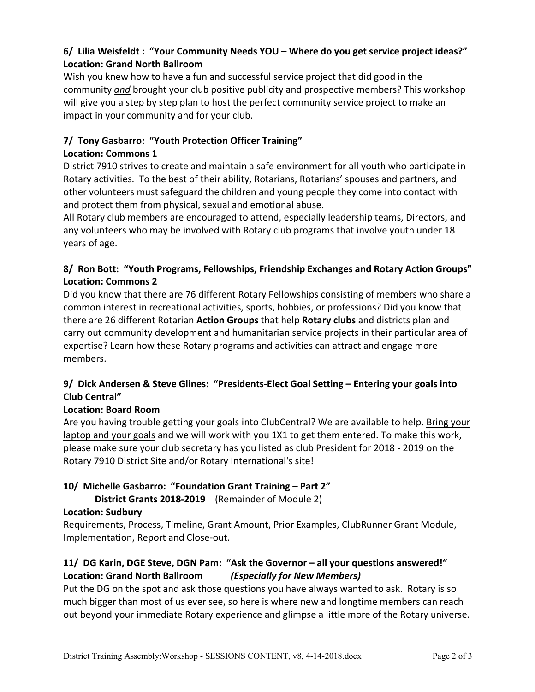# **6/ Lilia Weisfeldt : "Your Community Needs YOU – Where do you get service project ideas?" Location: Grand North Ballroom**

Wish you knew how to have a fun and successful service project that did good in the community *and* brought your club positive publicity and prospective members? This workshop will give you a step by step plan to host the perfect community service project to make an impact in your community and for your club.

# **7/ Tony Gasbarro: "Youth Protection Officer Training"**

#### **Location: Commons 1**

District 7910 strives to create and maintain a safe environment for all youth who participate in Rotary activities. To the best of their ability, Rotarians, Rotarians' spouses and partners, and other volunteers must safeguard the children and young people they come into contact with and protect them from physical, sexual and emotional abuse.

All Rotary club members are encouraged to attend, especially leadership teams, Directors, and any volunteers who may be involved with Rotary club programs that involve youth under 18 years of age.

# **8/ Ron Bott: "Youth Programs, Fellowships, Friendship Exchanges and Rotary Action Groups" Location: Commons 2**

Did you know that there are 76 different Rotary Fellowships consisting of members who share a common interest in recreational activities, sports, hobbies, or professions? Did you know that there are 26 different Rotarian **Action Groups** that help **Rotary clubs** and districts plan and carry out community development and humanitarian service projects in their particular area of expertise? Learn how these Rotary programs and activities can attract and engage more members.

# **9/ Dick Andersen & Steve Glines: "Presidents-Elect Goal Setting – Entering your goals into Club Central"**

# **Location: Board Room**

Are you having trouble getting your goals into ClubCentral? We are available to help. Bring your laptop and your goals and we will work with you 1X1 to get them entered. To make this work, please make sure your club secretary has you listed as club President for 2018 - 2019 on the Rotary 7910 District Site and/or Rotary International's site!

# **10/ Michelle Gasbarro: "Foundation Grant Training – Part 2"**

**District Grants 2018-2019** (Remainder of Module 2)

# **Location: Sudbury**

Requirements, Process, Timeline, Grant Amount, Prior Examples, ClubRunner Grant Module, Implementation, Report and Close-out.

# **11/ DG Karin, DGE Steve, DGN Pam: "Ask the Governor – all your questions answered!" Location: Grand North Ballroom** *(Especially for New Members)*

Put the DG on the spot and ask those questions you have always wanted to ask. Rotary is so much bigger than most of us ever see, so here is where new and longtime members can reach out beyond your immediate Rotary experience and glimpse a little more of the Rotary universe.